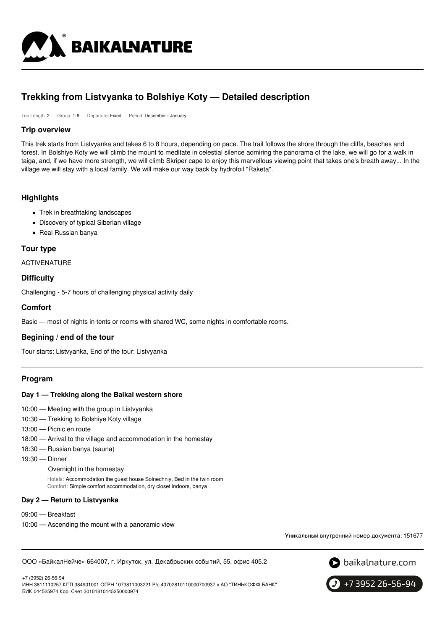

## **Trekking from Listvyanka to Bolshiye Koty — Detailed description**

Trip Length: 2 Group: 1-6 Departure: Fixed Period: December - January

### **Trip overview**

This trek starts from Listvyanka and takes 6 to 8 hours, depending on pace. The trail follows the shore through the cliffs, beaches and forest. In Bolshiye Koty we will climb the mount to meditate in celestial silence admiring the panorama of the lake, we will go for a walk in taiga, and, if we have more strength, we will climb Skriper cape to enjoy this marvellous viewing point that takes one's breath away... In the village we will stay with a local family. We will make our way back by hydrofoil "Raketa".

### **Highlights**

- Trek in breathtaking landscapes
- Discovery of typical Siberian village
- Real Russian banya

### **Tour type**

ACTIVENATURE

### **Difficulty**

Challenging - 5-7 hours of challenging physical activity daily

### **Comfort**

Basic — most of nights in tents or rooms with shared WC, some nights in comfortable rooms.

### **Begining / end of the tour**

Tour starts: Listvyanka, End of the tour: Listvyanka

### **Program**

### **Day 1 — Trekking along the Baikal western shore**

- 10:00 Meeting with the group in Listvyanka
- 10:30 Trekking to Bolshiye Koty village
- 13:00 Picnic en route
- 18:00 Arrival to the village and accommodation in the homestay
- 18:30 Russian banya (sauna)
- 19:30 Dinner

### Overnight in the homestay

Hotels: Accommodation the guest house Solnechniy, Bed in the twin room Comfort: Simple comfort accommodation, dry closet indoors, banya

### **Day 2 — Return to Listvyanka**

- 09:00 Breakfast
- 10:00 Ascending the mount with a panoramic view

Уникальный внутренний номер документа: 151677

ООО «БайкалНейче» 664007, г. Иркутск, ул. Декабрьских событий, 55, офис 405.2



+7 (3952) 26-56-94

ИНН 3811110257 КПП 384901001 ОГРН 1073811003221 Р/с 40702810110000700937 в АО "ТИНЬКОФФ БАНК" БИК 044525974 Кор. Счет 30101810145250000974

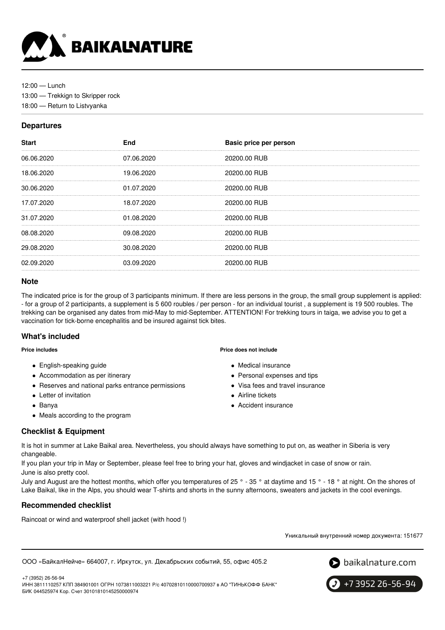

12:00 — Lunch 13:00 — Trekkign to Skripper rock 18:00 — Return to Listvyanka

### **Departures**

| <b>Start</b> | <b>End</b> | Basic price per person |
|--------------|------------|------------------------|
| 06.06.2020   | 07.06.2020 | 20200.00 RUB           |
| 18.06.2020   | 19.06.2020 | 20200.00 RUB           |
| 30.06.2020   | 01.07.2020 | 20200.00 RUB           |
| 17.07.2020   | 18.07.2020 | 20200.00 RUB           |
| 31.07.2020   | 01.08.2020 | 20200.00 RUB           |
| 08.08.2020   | 09.08.2020 | 20200.00 RUB           |
| 29.08.2020   | 30.08.2020 | 20200.00 RUB           |
| 02.09.2020   | 03.09.2020 | 20200.00 RUB           |
|              |            |                        |

### **Note**

The indicated price is for the group of 3 participants minimum. If there are less persons in the group, the small group supplement is applied: - for a group of 2 participants, a supplement is 5 600 roubles / per person - for an individual tourist , a supplement is 19 500 roubles. The trekking can be organised any dates from mid-May to mid-September. ATTENTION! For trekking tours in taiga, we advise you to get a vaccination for tick-borne encephalitis and be insured against tick bites.

### **What's included**

**Price includes**

- English-speaking guide
- Accommodation as per itinerary
- Reserves and national parks entrance permissions
- Letter of invitation
- Banya
- Meals according to the program

# **Checklist & Equipment**

**Price does not include**

- Medical insurance
- Personal expenses and tips
- Visa fees and travel insurance
- Airline tickets
- Accident insurance

It is hot in summer at Lake Baikal area. Nevertheless, you should always have something to put on, as weather in Siberia is very changeable.

If you plan your trip in May or September, please feel free to bring your hat, gloves and windjacket in case of snow or rain. June is also pretty cool.

July and August are the hottest months, which offer you temperatures of 25 ° - 35 ° at daytime and 15 ° - 18 ° at night. On the shores of Lake Baikal, like in the Alps, you should wear T-shirts and shorts in the sunny afternoons, sweaters and jackets in the cool evenings.

### **Recommended checklist**

Raincoat or wind and waterproof shell jacket (with hood !)

Уникальный внутренний номер документа: 151677

ООО «БайкалНейче» 664007, г. Иркутск, ул. Декабрьских событий, 55, офис 405.2



+7 (3952) 26-56-94 ИНН 3811110257 КПП 384901001 ОГРН 1073811003221 Р/с 40702810110000700937 в АО "ТИНЬКОФФ БАНК" БИК 044525974 Кор. Счет 30101810145250000974

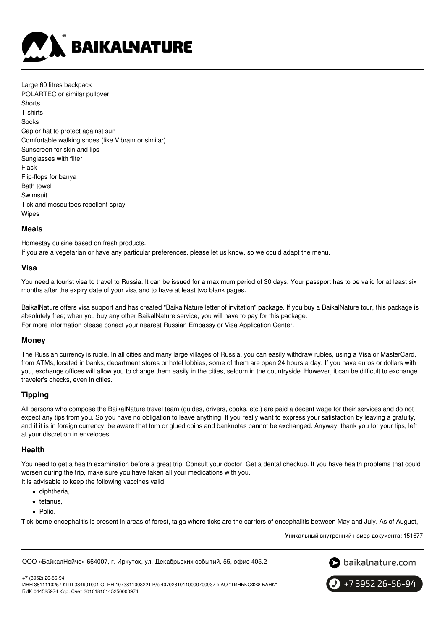

Large 60 litres backpack POLARTEC or similar pullover **Shorts** T-shirts Socks Cap or hat to protect against sun Comfortable walking shoes (like Vibram or similar) Sunscreen for skin and lips Sunglasses with filter Flask Flip-flops for banya Bath towel Swimsuit Tick and mosquitoes repellent spray Wipes

### **Meals**

Homestay cuisine based on fresh products. If you are a vegetarian or have any particular preferences, please let us know, so we could adapt the menu.

### **Visa**

You need a tourist visa to travel to Russia. It can be issued for a maximum period of 30 days. Your passport has to be valid for at least six months after the expiry date of your visa and to have at least two blank pages.

BaikalNature offers visa support and has created "BaikalNature letter of invitation" package. If you buy a BaikalNature tour, this package is absolutely free; when you buy any other BaikalNature service, you will have to pay for this package. For more information please conact your nearest Russian Embassy or Visa Application Center.

### **Money**

The Russian currency is ruble. In all cities and many large villages of Russia, you can easily withdraw rubles, using a Visa or MasterCard, from ATMs, located in banks, department stores or hotel lobbies, some of them are open 24 hours a day. If you have euros or dollars with you, exchange offices will allow you to change them easily in the cities, seldom in the countryside. However, it can be difficult to exchange traveler's checks, even in cities.

### **Tipping**

All persons who compose the BaikalNature travel team (guides, drivers, cooks, etc.) are paid a decent wage for their services and do not expect any tips from you. So you have no obligation to leave anything. If you really want to express your satisfaction by leaving a gratuity, and if it is in foreign currency, be aware that torn or glued coins and banknotes cannot be exchanged. Anyway, thank you for your tips, left at your discretion in envelopes.

### **Health**

You need to get a health examination before a great trip. Consult your doctor. Get a dental checkup. If you have health problems that could worsen during the trip, make sure you have taken all your medications with you.

It is advisable to keep the following vaccines valid:

- diphtheria.
- $\bullet$  tetanus,
- Polio.

Tick-borne encephalitis is present in areas of forest, taiga where ticks are the carriers of encephalitis between May and July. As of August,

Уникальный внутренний номер документа: 151677

ООО «БайкалНейче» 664007, г. Иркутск, ул. Декабрьских событий, 55, офис 405.2



+7 (3952) 26-56-94 ИНН 3811110257 КПП 384901001 ОГРН 1073811003221 Р/с 40702810110000700937 в АО "ТИНЬКОФФ БАНК" БИК 044525974 Кор. Счет 30101810145250000974